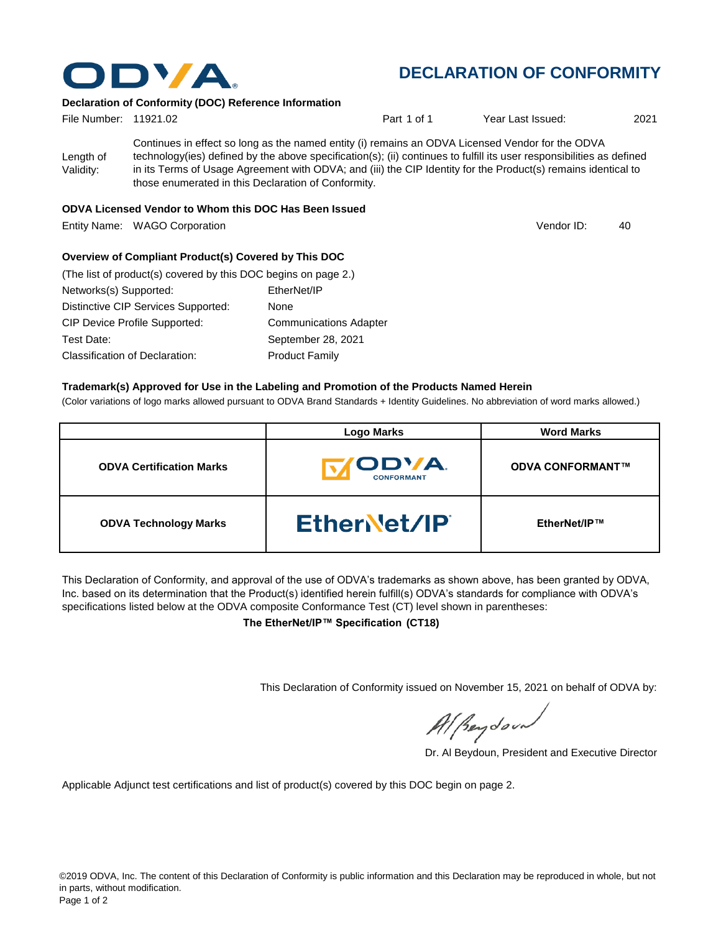

## **DECLARATION OF CONFORMITY**

Vendor ID:

## **Declaration of Conformity (DOC) Reference Information**

| File Number: 11921.02  |                                                                                                                                                                                                                                                                                                                                                                                                   | Part 1 of 1 | Year Last Issued: | 2021 |
|------------------------|---------------------------------------------------------------------------------------------------------------------------------------------------------------------------------------------------------------------------------------------------------------------------------------------------------------------------------------------------------------------------------------------------|-------------|-------------------|------|
| Length of<br>Validity: | Continues in effect so long as the named entity (i) remains an ODVA Licensed Vendor for the ODVA<br>technology(ies) defined by the above specification(s); (ii) continues to fulfill its user responsibilities as defined<br>in its Terms of Usage Agreement with ODVA; and (iii) the CIP Identity for the Product(s) remains identical to<br>those enumerated in this Declaration of Conformity. |             |                   |      |
|                        |                                                                                                                                                                                                                                                                                                                                                                                                   |             |                   |      |

#### **ODVA Licensed Vendor to Whom this DOC Has Been Issued**

Entity Name: WAGO Corporation **According to the Contract Contract Contract Contract Contract Contract Contract Contract Contract Contract Contract Contract Contract Contract Contract Contract Contract Contract Contract Con** 

#### **Overview of Compliant Product(s) Covered by This DOC**

| (The list of product(s) covered by this DOC begins on page 2.) |                               |
|----------------------------------------------------------------|-------------------------------|
| Networks(s) Supported:                                         | EtherNet/IP                   |
| Distinctive CIP Services Supported:                            | None                          |
| <b>CIP Device Profile Supported:</b>                           | <b>Communications Adapter</b> |
| Test Date:                                                     | September 28, 2021            |
| <b>Classification of Declaration:</b>                          | <b>Product Family</b>         |

#### **Trademark(s) Approved for Use in the Labeling and Promotion of the Products Named Herein**

(Color variations of logo marks allowed pursuant to ODVA Brand Standards + Identity Guidelines. No abbreviation of word marks allowed.)

|                                 | <b>Logo Marks</b>                  | <b>Word Marks</b>       |
|---------------------------------|------------------------------------|-------------------------|
| <b>ODVA Certification Marks</b> | <b>CODVA.</b><br><b>CONFORMANT</b> | <b>ODVA CONFORMANT™</b> |
| <b>ODVA Technology Marks</b>    | EtherNet/IP                        | EtherNet/IP™            |

This Declaration of Conformity, and approval of the use of ODVA's trademarks as shown above, has been granted by ODVA, Inc. based on its determination that the Product(s) identified herein fulfill(s) ODVA's standards for compliance with ODVA's specifications listed below at the ODVA composite Conformance Test (CT) level shown in parentheses:

**The EtherNet/IP™ Specification (CT18)**

This Declaration of Conformity issued on November 15, 2021 on behalf of ODVA by:

Al Beydoor

Dr. Al Beydoun, President and Executive Director

Applicable Adjunct test certifications and list of product(s) covered by this DOC begin on page 2.